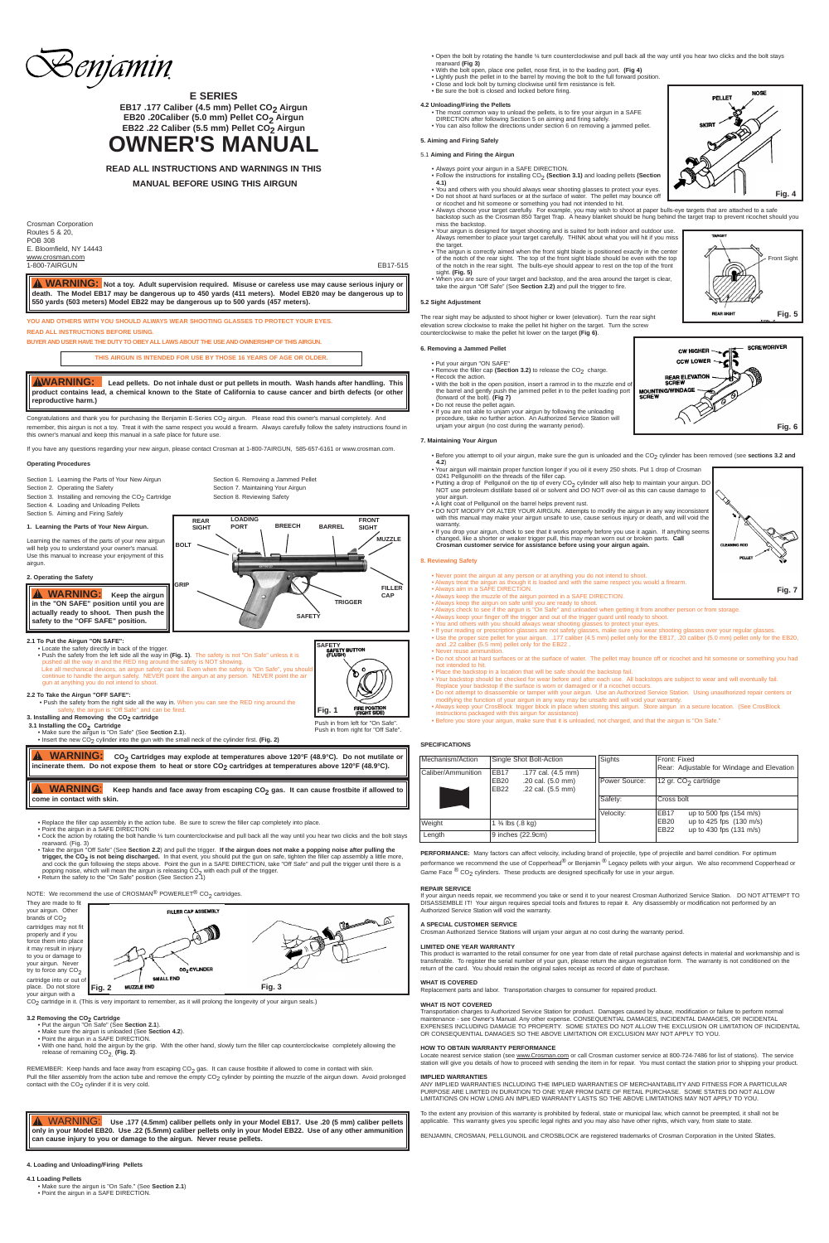Congratulations and thank you for purchasing the Benjamin E-Series CO<sub>2</sub> airgun. Please read this owner's manual completely. And remember, this airgun is not a toy. Treat it with the same respect you would a firearm. Always carefully follow the safety instructions found in this owner's manual and keep this manual in a safe place for future use.

Section 2. Operating the Safety<br>
Section 3. Installing and removing the  $CO_2$  Cartridge<br>
Section 8. Reviewing Safety Section 3. Installing and removing the  $CO<sub>2</sub>$  Cartridge Section 4. Loading and Unloading Pellets

If you have any questions regarding your new airgun, please contact Crosman at 1-800-7AIRGUN, 585-657-6161 or www.crosman.com.

#### **Operating Procedures**

Section 1. Learning the Parts of Your New Airgun Section 6. Removing a Jammed Pellet

Section 5. Aiming and Firing Safely

**1. Learning the Parts of Your New Airgun.**



- Replace the filler cap assembly in the action tube. Be sure to screw the filler cap completely into place.
- Point the airgun in a SAFE DIRECTION
- Cock the action by rotating the bolt handle ¼ turn counterclockwise and pull back all the way until you hear two clicks and the bolt stays rearward. (Fig. 3)
- Take the airgun "Off Safe" (See **Section 2.2**) and pull the trigger. **If the airgun does not make a popping noise after pulling the trigger, the CO<sub>2</sub> is not being discharged.** In that event, you should put the gun on safe, tighten the filler cap assembly a little more,<br>and cock the gun following the steps above. Point the gun in a SAFE DIRECTION, ta

#### **2. Operating the Safety**

**2.1 To Put the Airgun "ON SAFE":**

• Locate the safety directly in back of the trigger. • Push the safety from the left side all the way in **(Fig. 1)**. The safety is not "On Safe" unless it is pushed all the way in and the RED ring around the safety is NOT showing.<br>Like all mechanical devices, an airgun safety can fail. Even when the safety is "On Safe", you should<br>continue to handle the airgun safely. NEVER po gun at anything you do not intend to shoot.

# **2.2 To Take the Airgun "OFF SAFE":**

- **3.2 Removing the CO2 Cartridge** Put the airgun "On Safe" (See **Section 2.1**).
	- Make sure the airgun is unloaded (See **Section 4.2**). Point the airgun in a SAFE DIRECTION.
	-
- With one hand, hold the airgun by the grip. With the other hand, slowly turn the filler cap counterclockwise completely allowing the release of remaining CO<sub>2</sub> (Fig. 2).

REMEMBER: Keep hands and face away from escaping  $CO_2$  gas. It can cause frostbite if allowed to come in contact with skin.

Pull the filler assembly from the action tube and remove the empty  $CO_2$  cylinder by pointing the muzzle of the airgun down. Avoid prolonged contact with the  $CO<sub>2</sub>$  cylinder if it is very cold.

- Push the safety from the right side all the way in. When you can see the RED ring around the Off Safe" and can be fired. **3. Installing and Removing the CO2 cartridge**
- **3.1 Installing the CO<sub>2</sub> Cartridge**
- 
- Make sure the airgun is "On Safe" (See **Section 2.1**). Insert the new CO2 cylinder into the gun with the small neck of the cylinder first. **(Fig. 2)**



**E SERIES** EB17 .177 Caliber (4.5 mm) Pellet CO<sub>2</sub> Airgun **EB20 .20Caliber (5.0 mm) Pellet CO<sub>2</sub> Airgun** EB22 .22 Caliber (5.5 mm) Pellet CO<sub>2</sub> Airgun

They are made to fit your airgun. Other<br>brands of CO<sub>2</sub> cartridges may not fit properly and if you force them into place it may result in injury to you or damage to your airgun. Never try to force any  $CO<sub>2</sub>$ cartridge into or out of place. Do not store your airgun with a

• Before you attempt to oil your airgun, make sure the gun is unloaded and the CO<sub>2</sub> cylinder has been removed (see **sections 3.2 and 4.2**)

**4. Loading and Unloading/Firing Pellets**

#### **4.1 Loading Pellets**

- Make sure the airgun is "On Safe." (See **Section 2.1**)
- Point the airgun in a SAFE DIRECTION.

Game Face  ${}^{\circledR}$  CO<sub>2</sub> cylinders. These products are designed specifically for use in your airgun.

**OWNER'S MANUAL**

**READ ALL INSTRUCTIONS AND WARNINGS IN THIS MANUAL BEFORE USING THIS AIRGUN**

Crosman Corporation Routes 5 & 20, POB 308 E. Bloomfield, NY 14443 www.crosman.com 1-800-7AIRGUN EB17-515

**YOU AND OTHERS WITH YOU SHOULD ALWAYS WEAR SHOOTING GLASSES TO PROTECT YOUR EYES.**

#### **READ ALL INSTRUCTIONS BEFORE USING.**

**BUYER AND USER HAVE THE DUTY TO OBEY ALL LAWS ABOUT THE USE AND OWNERSHIP OF THIS AIRGUN.**

- Open the bolt by rotating the handle ¼ turn counterclockwise and pull back all the way until you hear two clicks and the bolt stays rearward **(Fig 3)**
- With the bolt open, place one pellet, nose first, in to the loading port. **(Fig 4)**<br>• Lightly push the pellet in to the barrel by moving the bolt to the full forward position.<br>• Close and lock bolt by turning clockwise
	-
	- Be sure the bolt is closed and locked before firing.
- 

# **4.2 Unloading/Firing the Pellets** • The most common way to unload the pellets, is to fire your airgun in a SAFE DIRECTION after following Section 5 on aiming and firing safely. • You can also follow the directions under section 6 on removing a jammed pellet.

- Never point the airgun at any person or at anything you do not intend to shoot.
- Always treat the airgun as though it is loaded and with the same respect you would a firearm. Always aim in a SAFE DIRECTION.
- Always keep the muzzle of the airgun pointed in a SAFE DIRECTION.
- Always keep the airgun on safe until you are ready to shoot. Always check to see if the airgun is "On Safe" and unloaded when getting it from another person or from storage.
- 
- 
- Always keep your finger off the trigger and out of the trigger guard until ready to shoot.<br>• You and others with you should always wear shooting glasses to protect your eyes.<br>• If your reading or prescription glasses are
- Use the proper size pellet for your airgun. .177 caliber (4.5 mm) pellet only for the EB17, .20 caliber (5.0 mm) pellet only for the EB20, and .22 caliber (5.5 mm) pellet only for the EB22 .
- Never reuse ammunition
- Do not shoot at hard surfaces or at the surface of water. The pellet may bounce off or ricochet and hit someone or something you had not intended to hit.
- 
- Place the backstop in a location that will be safe should the backstop fail. Your backstop should be checked for wear before and after each use. All backstops are subject to wear and will eventually fail. Replace your backstop if the surface is worn or damaged or if a ricochet occurs.
- Do not attempt to disassemble or tamper with your airgun. Use an Authorized Service Station. Using unauthorized repair centers or modifying the function of your airgun in any way may be unsafe and will void your warranty.
- Always keep your CrosBlock trigger block in place when storing this airgun. Store airgun in a secure location. (See CrosBlock instructions packaged with this airgun for assistance)
- Before you store your airgun, make sure that it is unloaded, not charged, and that the airgun is "On Safe."

**PERFORMANCE:** Many factors can affect velocity, including brand of projectile, type of projectile and barrel condition. For optimum performance we recommend the use of Copperhead $^\circledR$  or Benjamin  $^\circledR$  Legacy pellets with your airgun. We also recommend Copperhead or

# **5. Aiming and Firing Safely**

- 5.1 **Aiming and Firing the Airgun**
- Always point your airgun in a SAFE DIRECTION. • Follow the instructions for installing CO<sub>2</sub> (Section 3.1) and loading pellets (Section
- **4.1)** • You and others with you should always wear shooting glasses to protect your eyes. • Do not shoot at hard surfaces or at the surface of water. The pellet may bounce off
- or ricochet and hit someone or something you had not intended to hit. Always choose your target carefully. For example, you may wish to shoot at paper bulls-eye targets that are attached to a safe
- backstop such as the Crosman 850 Target Trap. A heavy blanket should be hung behind the target trap to prevent ricochet should you miss the backstop.
- Your airgun is designed for target shooting and is suited for both indoor and outdoor use. Always remember to place your target carefully. THINK about what you will hit if you miss the target.
- The airgun is correctly aimed when the front sight blade is positioned exactly in the center of the notch of the rear sight. The top of the front sight blade should be even with the top of the notch in the rear sight. The bulls-eye should appear to rest on the top of the front sight. **(Fig. 5)**
- When you are sure of your target and backstop, and the area around the target is clear, take the airgun "Off Safe" (See **Section 2.2)** and pull the trigger to fire.

Transportation charges to Authorized Service Station for product. Damages caused by abuse, modification or failure to perform normal<br>maintenance - see Owner's Manual. Any other expense. CONSEQUENTIAL DAMAGES, INCIDENTAL D EXPENSES INCLUDING DAMAGE TO PROPERTY. SOME STATES DO NOT ALLOW THE EXCLUSION OR LIMITATION OF INCIDENTAL OR CONSEQUENTIAL DAMAGES SO THE ABOVE LIMITATION OR EXCLUSION MAY NOT APPLY TO YOU.

#### **5.2 Sight Adjustment**

The rear sight may be adjusted to shoot higher or lower (elevation). Turn the rear sight elevation screw clockwise to make the pellet hit higher on the target. Turn the screw counterclockwise to make the pellet hit lower on the target **(Fig 6)**.

#### **6. Removing a Jammed Pellet**

Push in from left for "On Safe" Push in from right for "Off Safe".

- Put your airgun "ON SAFE"
- Remove the filler cap (Section 3.2) to release the CO<sub>2</sub> charge.<br>• Recock the action.
- With the bolt in the open position, insert a ramrod in to the muzzle end of the barrel and gently push the jammed pellet in to the pellet loading port (forward of the bolt). **(Fig 7)**
- Do not reuse the pellet again. If you are not able to unjam your airgun by following the unloading procedure, take no further action. An Authorized Service Station will unjam your airgun (no cost during the warranty period).

**WARNING:** CO<sub>2</sub> Cartridges may explode at temperatures above 120°F (48.9°C). Do not mutilate or **incinerate them. Do not expose them to heat or store CO2 cartridges at temperatures above 120°F (48.9°C).** !

 $\hat{}$  **WARNING:** Keep hands and face away from escaping CO<sub>2</sub> gas. It can cause frostbite if allowed to **come in contact with skin.** 

### **7. Maintaining Your Airgun**

WARNING: Use .177 (4.5mm) caliber pellets only in your Model EB17. Use .20 (5 mm) caliber pellets **only in your Model EB20. Use .22 (5.5mm) caliber pellets only in your Model EB22. Use of any other ammunition can cause injury to you or damage to the airgun. Never reuse pellets.**

- Your airgun will maintain proper function longer if you oil it every 250 shots. Put 1 drop of Crosman 0241 Pellgunoil® on the threads of the filler cap.
- Putting a drop of Pellgunoil on the tip of every CO2 cylinder will also help to maintain your airgun. DO NOT use petroleum distillate based oil or solvent and DO NOT over-oil as this can cause damage to your airgun.
- A light coat of Pellgunoil on the barrel helps prevent rust.
- DO NOT MODIFY OR ALTER YOUR AIRGUN. Attempts to modify the airgun in any way inconsistent with this manual may make your airgun unsafe to use, cause serious injury or death, and will void the warranty.
- If you drop your airgun, check to see that it works properly before you use it again. If anything seems changed, like a shorter or weaker trigger pull, this may mean worn out or broken parts. **Call Crosman customer service for assistance before using your airgun again.**

### **8. Reviewing Safety**

# **SPECIFICATIONS**

#### **REPAIR SERVICE**

If your airgun needs repair, we recommend you take or send it to your nearest Crosman Authorized Service Station. DO NOT ATTEMPT TO DISASSEMBLE IT! Your airgun requires special tools and fixtures to repair it. Any disassembly or modification not performed by an Authorized Service Station will void the warranty.

### **A SPECIAL CUSTOMER SERVICE**

tions will uniam vour airgun at no cost during the warranty period.

#### **LIMITED ONE YEAR WARRANTY**

This product is warranted to the retail consumer for one year from date of retail purchase against defects in material and workmanship and is transferable. To register the serial number of your gun, please return the airgun registration form. The warranty is not conditioned on the return of the card. You should retain the original sales receipt as record of date of purchase.

### **WHAT IS COVERED**

Replacement parts and labor. Transportation charges to consumer for repaired product.

### **WHAT IS NOT COVERED**

## **HOW TO OBTAIN WARRANTY PERFORMANCE**

Locate nearest service station (see <u>www.Crosman.com</u> or call Crosman customer service at 800-724-7486 for list of stations). The service<br>station will give you details of how to proceed with sending the item in for repair.

#### **IMPLIED WARRANTIES**

ANY IMPLIED WARRANTIES INCLUDING THE IMPLIED WARRANTIES OF MERCHANTABILITY AND FITNESS FOR A PARTICULAR PURPOSE ARE LIMITED IN DURATION TO ONE YEAR FROM DATE OF RETAIL PURCHASE. SOME STATES DO NOT ALLOW LIMITATIONS ON HOW LONG AN IMPLIED WARRANTY LASTS SO THE ABOVE LIMITATIONS MAY NOT APPLY TO YOU.

To the extent any provision of this warranty is prohibited by federal, state or municipal law, which cannot be preempted, it shall not be applicable. This warranty gives you specific legal rights and you may also have other rights, which vary, from state to state.

BENJAMIN, CROSMAN, PELLGUNOIL and CROSBLOCK are registered trademarks of Crosman Corporation in the United States.

| Mechanism/Action<br>Caliber/Ammunition | Single Shot Bolt-Action<br>EB <sub>17</sub><br>.177 cal. (4.5 mm)<br>$.20$ cal. $(5.0$ mm)<br>EB20<br>EB22<br>.22 cal. (5.5 mm) | Sights                | <b>IFront: Fixed</b><br>Rear: Adjustable for Windage and Elevation                         |  |
|----------------------------------------|---------------------------------------------------------------------------------------------------------------------------------|-----------------------|--------------------------------------------------------------------------------------------|--|
|                                        |                                                                                                                                 | <b>IPower Source:</b> | 12 gr. CO <sub>2</sub> cartridge                                                           |  |
|                                        |                                                                                                                                 | Safety:               | Cross bolt                                                                                 |  |
|                                        |                                                                                                                                 | Velocity:             | EB <sub>17</sub><br>up to 500 fps (154 m/s)                                                |  |
| Weight                                 | 1 $\frac{3}{4}$ lbs $(.8 \text{ kg})$                                                                                           |                       | EB <sub>20</sub><br>up to 425 fps (130 m/s)<br>EB <sub>22</sub><br>up to 430 fps (131 m/s) |  |
| Length                                 | 9 inches (22.9cm)                                                                                                               |                       |                                                                                            |  |

**LOADING** 

**PORT BREECH BARREL**

**FRONT SIGHT**

**REAR SIGHT**

**BOLT**

**SAFETY**

**TRIGGER**

**FILLER CAP**

**MUZZLE**

- popping noise, which will mean the airgun is releasing  $CO<sub>2</sub>$  with each pull of the trigger.<br>• Return the safety to the "On Safe" position (See Section 2.1)
- 

# NOTE: We recommend the use of CROSMAN<sup>®</sup> POWERLET<sup>®</sup> CO<sub>2</sub> cartridges.

**THIS AIRGUN IS INTENDED FOR USE BY THOSE 16 YEARS OF AGE OR OLDER.**



CLE/



**Fig. 7**

 $\begin{picture}(120,15) \put(0,0){\line(1,0){15}} \put(15,0){\line(1,0){15}} \put(15,0){\line(1,0){15}} \put(15,0){\line(1,0){15}} \put(15,0){\line(1,0){15}} \put(15,0){\line(1,0){15}} \put(15,0){\line(1,0){15}} \put(15,0){\line(1,0){15}} \put(15,0){\line(1,0){15}} \put(15,0){\line(1,0){15}} \put(15,0){\line(1,0){15}} \put(15,0){\line($ 





**Fig. 1**

**WARNING: Not a toy. Adult supervision required. Misuse or careless use may cause serious injury or** ! **death. The Model EB17 may be dangerous up to 450 yards (411 meters). Model EB20 may be dangerous up to 550 yards (503 meters) Model EB22 may be dangerous up to 500 yards (457 meters).**



**WARNING: Lead pellets. Do not inhale dust or put pellets in mouth. Wash hands after handling. This** ! **product contains lead, a chemical known to the State of California to cause cancer and birth defects (or other reproductive harm.)**



 $CO<sub>2</sub>$  cartridge in it. (This is very important to remember, as it will prolong the longevity of your airgun seals.)